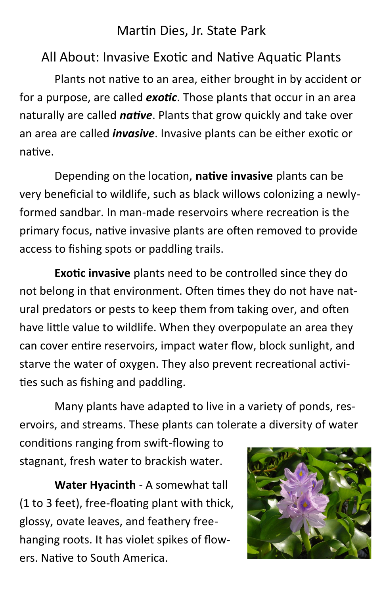## Martin Dies, Jr. State Park

## All About: Invasive Exotic and Native Aquatic Plants

Plants not native to an area, either brought in by accident or for a purpose, are called *exotic*. Those plants that occur in an area naturally are called *native*. Plants that grow quickly and take over an area are called *invasive*. Invasive plants can be either exotic or native.

Depending on the location, **native invasive** plants can be very beneficial to wildlife, such as black willows colonizing a newlyformed sandbar. In man-made reservoirs where recreation is the primary focus, native invasive plants are often removed to provide access to fishing spots or paddling trails.

**Exotic invasive** plants need to be controlled since they do not belong in that environment. Often times they do not have natural predators or pests to keep them from taking over, and often have little value to wildlife. When they overpopulate an area they can cover entire reservoirs, impact water flow, block sunlight, and starve the water of oxygen. They also prevent recreational activities such as fishing and paddling.

Many plants have adapted to live in a variety of ponds, reservoirs, and streams. These plants can tolerate a diversity of water

conditions ranging from swift-flowing to stagnant, fresh water to brackish water.

**Water Hyacinth** - A somewhat tall (1 to 3 feet), free-floating plant with thick, glossy, ovate leaves, and feathery freehanging roots. It has violet spikes of flowers. Native to South America.